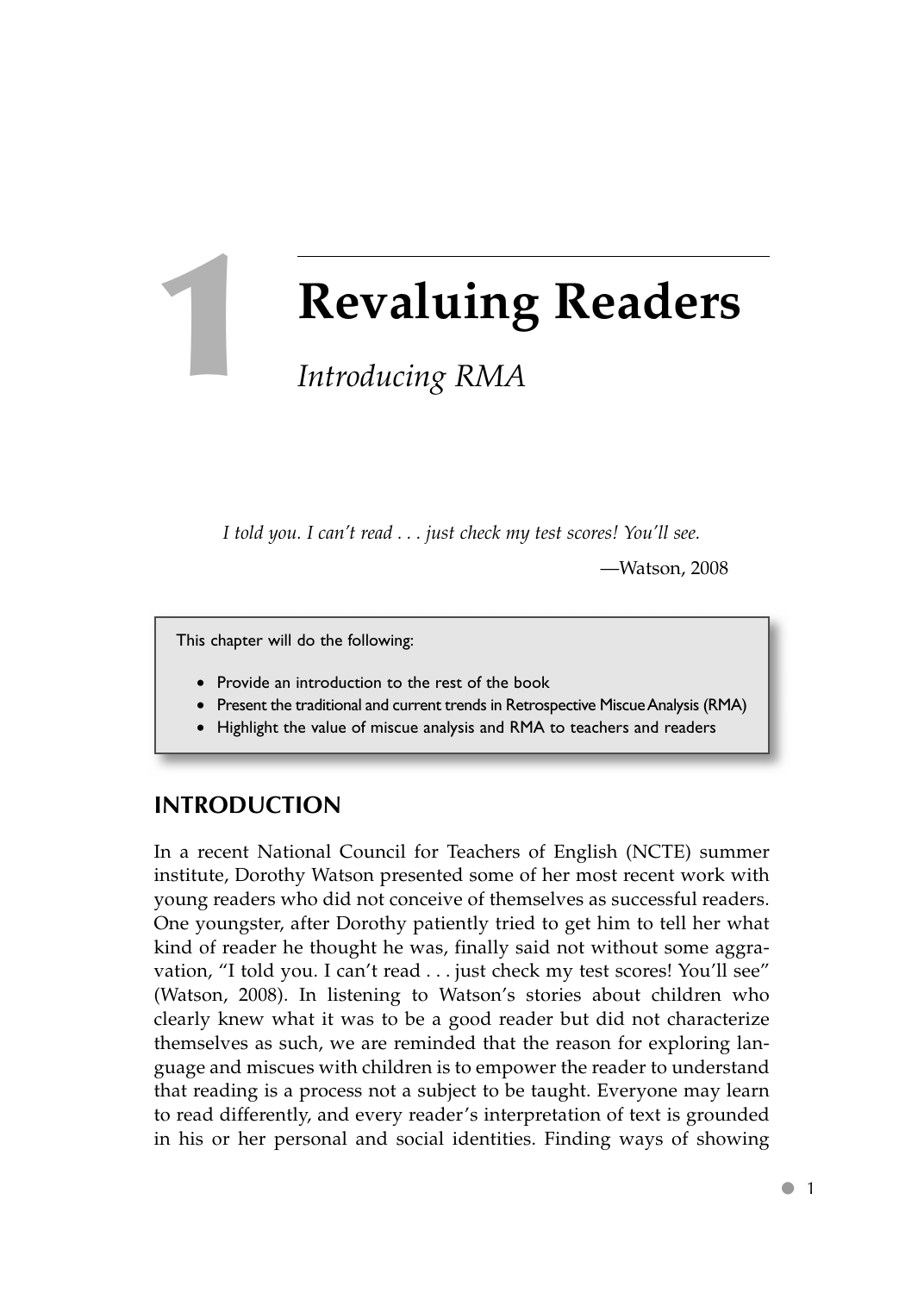**1**

# **Revaluing Readers**

# *Introducing RMA*

*I told you. I can't read ... just check my test scores! You'll see.*

—Watson, 2008

This chapter will do the following:

- Provide an introduction to the rest of the book
- Present the traditional and current trends in Retrospective Miscue Analysis (RMA)
- Highlight the value of miscue analysis and RMA to teachers and readers

# **INTRODUCTION**

In a recent National Council for Teachers of English (NCTE) summer institute, Dorothy Watson presented some of her most recent work with young readers who did not conceive of themselves as successful readers. One youngster, after Dorothy patiently tried to get him to tell her what kind of reader he thought he was, finally said not without some aggravation, "I told you. I can't read . . . just check my test scores! You'll see" (Watson, 2008). In listening to Watson's stories about children who clearly knew what it was to be a good reader but did not characterize themselves as such, we are reminded that the reason for exploring language and miscues with children is to empower the reader to understand that reading is a process not a subject to be taught. Everyone may learn to read differently, and every reader's interpretation of text is grounded in his or her personal and social identities. Finding ways of showing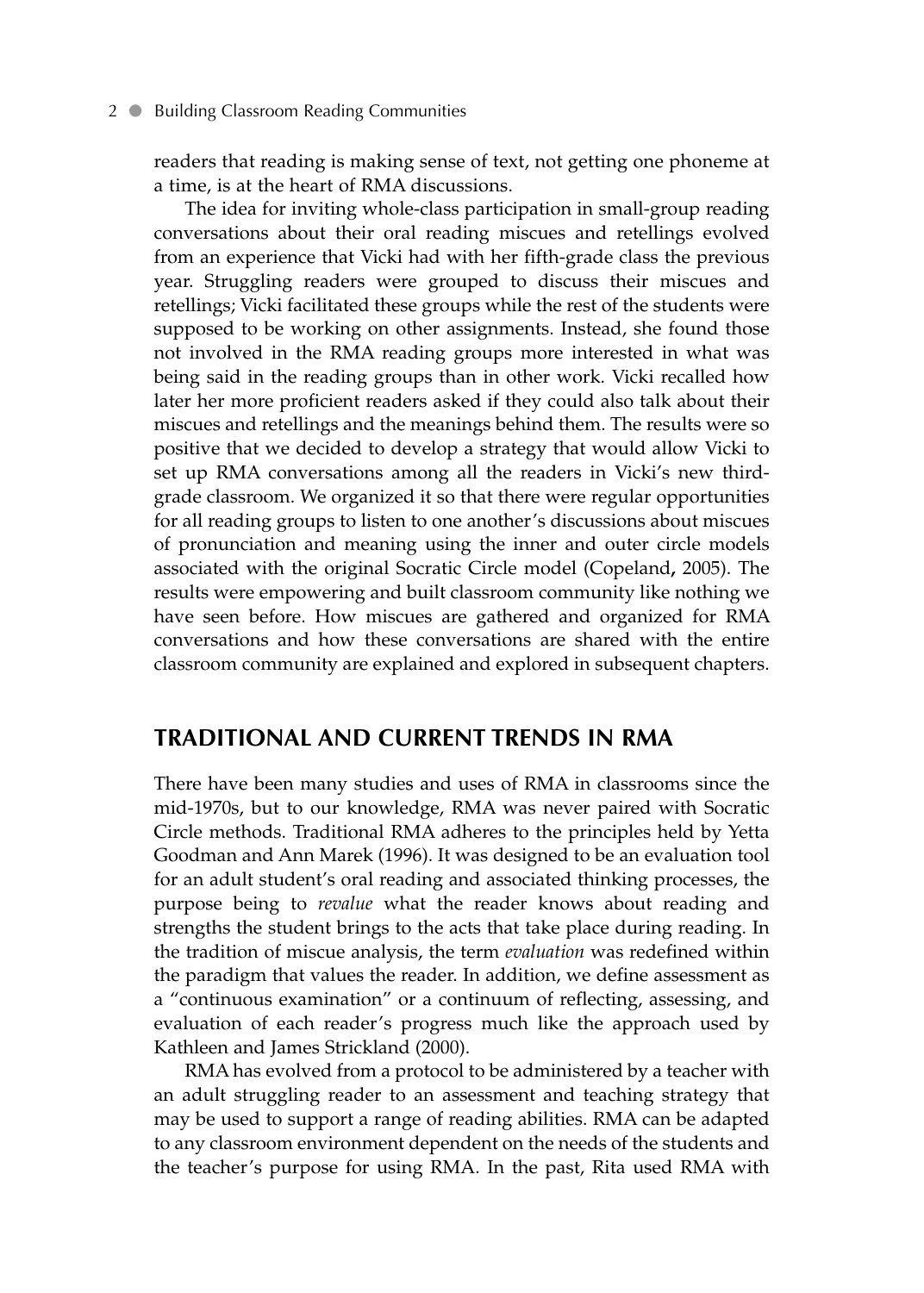#### 2 **• Building Classroom Reading Communities**

readers that reading is making sense of text, not getting one phoneme at a time, is at the heart of RMA discussions.

The idea for inviting whole-class participation in small-group reading conversations about their oral reading miscues and retellings evolved from an experience that Vicki had with her fifth-grade class the previous year. Struggling readers were grouped to discuss their miscues and retellings; Vicki facilitated these groups while the rest of the students were supposed to be working on other assignments. Instead, she found those not involved in the RMA reading groups more interested in what was being said in the reading groups than in other work. Vicki recalled how later her more proficient readers asked if they could also talk about their miscues and retellings and the meanings behind them. The results were so positive that we decided to develop a strategy that would allow Vicki to set up RMA conversations among all the readers in Vicki's new thirdgrade classroom. We organized it so that there were regular opportunities for all reading groups to listen to one another's discussions about miscues of pronunciation and meaning using the inner and outer circle models associated with the original Socratic Circle model (Copeland**,** 2005). The results were empowering and built classroom community like nothing we have seen before. How miscues are gathered and organized for RMA conversations and how these conversations are shared with the entire classroom community are explained and explored in subsequent chapters.

### **TRADITIONAL AND CURRENT TRENDS IN RMA**

There have been many studies and uses of RMA in classrooms since the mid-1970s, but to our knowledge, RMA was never paired with Socratic Circle methods. Traditional RMA adheres to the principles held by Yetta Goodman and Ann Marek (1996). It was designed to be an evaluation tool for an adult student's oral reading and associated thinking processes, the purpose being to *revalue* what the reader knows about reading and strengths the student brings to the acts that take place during reading. In the tradition of miscue analysis, the term *evaluation* was redefined within the paradigm that values the reader. In addition, we define assessment as a "continuous examination" or a continuum of reflecting, assessing, and evaluation of each reader's progress much like the approach used by Kathleen and James Strickland (2000).

RMA has evolved from a protocol to be administered by a teacher with an adult struggling reader to an assessment and teaching strategy that may be used to support a range of reading abilities. RMA can be adapted to any classroom environment dependent on the needs of the students and the teacher's purpose for using RMA. In the past, Rita used RMA with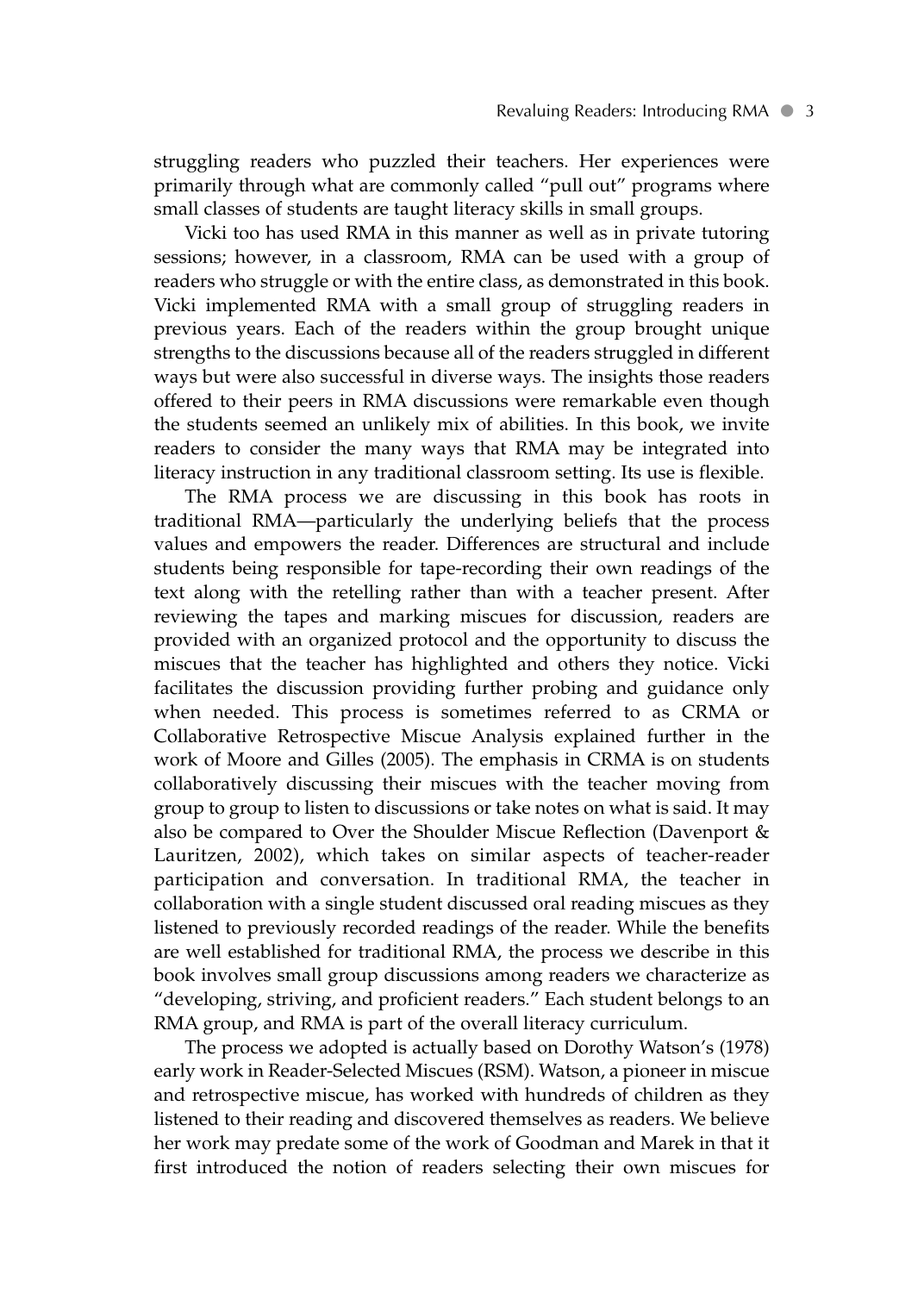struggling readers who puzzled their teachers. Her experiences were primarily through what are commonly called "pull out" programs where small classes of students are taught literacy skills in small groups.

Vicki too has used RMA in this manner as well as in private tutoring sessions; however, in a classroom, RMA can be used with a group of readers who struggle or with the entire class, as demonstrated in this book. Vicki implemented RMA with a small group of struggling readers in previous years. Each of the readers within the group brought unique strengths to the discussions because all of the readers struggled in different ways but were also successful in diverse ways. The insights those readers offered to their peers in RMA discussions were remarkable even though the students seemed an unlikely mix of abilities. In this book, we invite readers to consider the many ways that RMA may be integrated into literacy instruction in any traditional classroom setting. Its use is flexible.

The RMA process we are discussing in this book has roots in traditional RMA—particularly the underlying beliefs that the process values and empowers the reader. Differences are structural and include students being responsible for tape-recording their own readings of the text along with the retelling rather than with a teacher present. After reviewing the tapes and marking miscues for discussion, readers are provided with an organized protocol and the opportunity to discuss the miscues that the teacher has highlighted and others they notice. Vicki facilitates the discussion providing further probing and guidance only when needed. This process is sometimes referred to as CRMA or Collaborative Retrospective Miscue Analysis explained further in the work of Moore and Gilles (2005). The emphasis in CRMA is on students collaboratively discussing their miscues with the teacher moving from group to group to listen to discussions or take notes on what is said. It may also be compared to Over the Shoulder Miscue Reflection (Davenport & Lauritzen, 2002), which takes on similar aspects of teacher-reader participation and conversation. In traditional RMA, the teacher in collaboration with a single student discussed oral reading miscues as they listened to previously recorded readings of the reader. While the benefits are well established for traditional RMA, the process we describe in this book involves small group discussions among readers we characterize as "developing, striving, and proficient readers." Each student belongs to an RMA group, and RMA is part of the overall literacy curriculum.

The process we adopted is actually based on Dorothy Watson's (1978) early work in Reader-Selected Miscues (RSM). Watson, a pioneer in miscue and retrospective miscue, has worked with hundreds of children as they listened to their reading and discovered themselves as readers. We believe her work may predate some of the work of Goodman and Marek in that it first introduced the notion of readers selecting their own miscues for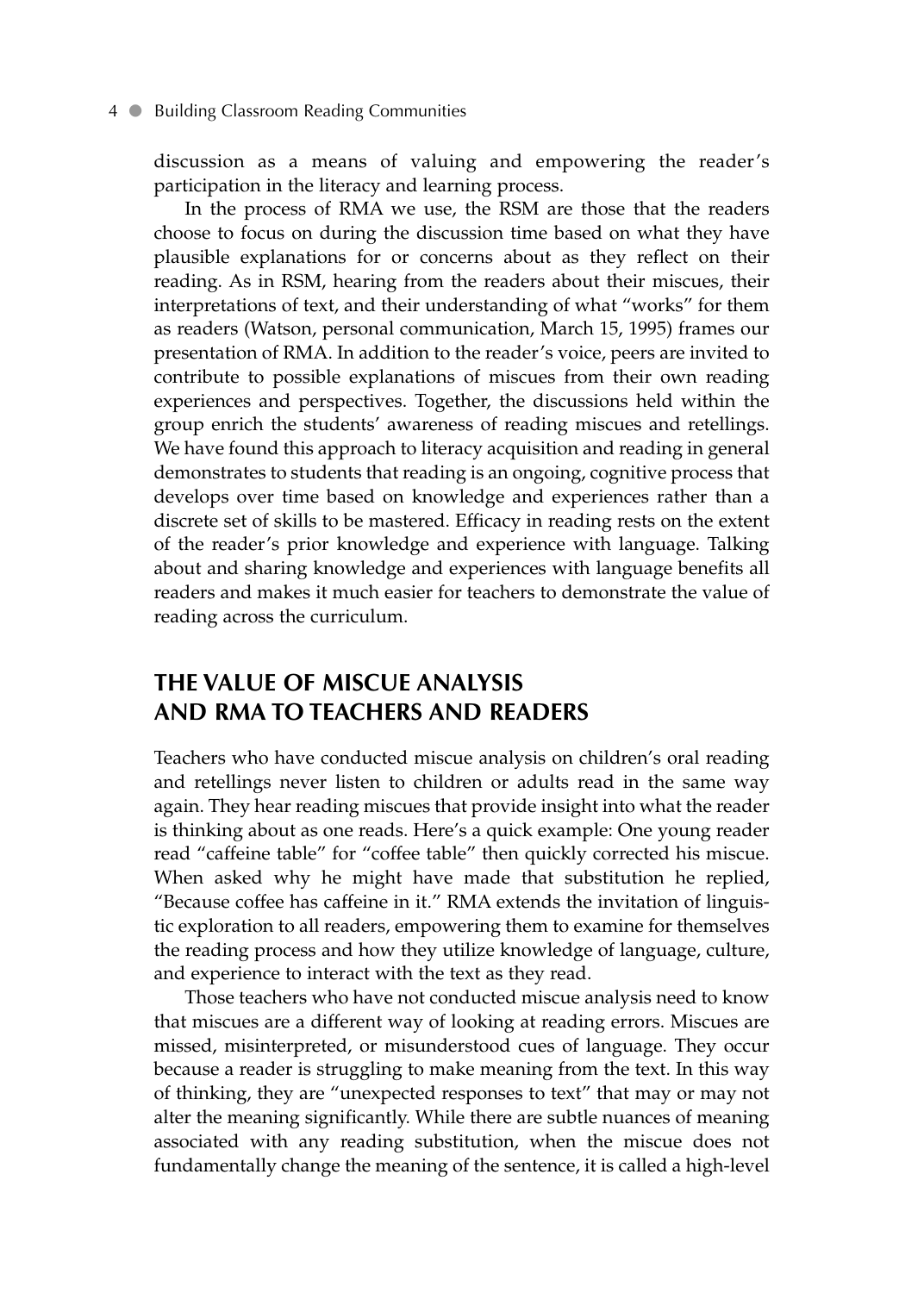#### 4 • Building Classroom Reading Communities

discussion as a means of valuing and empowering the reader's participation in the literacy and learning process.

In the process of RMA we use, the RSM are those that the readers choose to focus on during the discussion time based on what they have plausible explanations for or concerns about as they reflect on their reading. As in RSM, hearing from the readers about their miscues, their interpretations of text, and their understanding of what "works" for them as readers (Watson, personal communication, March 15, 1995) frames our presentation of RMA. In addition to the reader's voice, peers are invited to contribute to possible explanations of miscues from their own reading experiences and perspectives. Together, the discussions held within the group enrich the students' awareness of reading miscues and retellings. We have found this approach to literacy acquisition and reading in general demonstrates to students that reading is an ongoing, cognitive process that develops over time based on knowledge and experiences rather than a discrete set of skills to be mastered. Efficacy in reading rests on the extent of the reader's prior knowledge and experience with language. Talking about and sharing knowledge and experiences with language benefits all readers and makes it much easier for teachers to demonstrate the value of reading across the curriculum.

## **THE VALUE OF MISCUE ANALYSIS AND RMA TO TEACHERS AND READERS**

Teachers who have conducted miscue analysis on children's oral reading and retellings never listen to children or adults read in the same way again. They hear reading miscues that provide insight into what the reader is thinking about as one reads. Here's a quick example: One young reader read "caffeine table" for "coffee table" then quickly corrected his miscue. When asked why he might have made that substitution he replied, "Because coffee has caffeine in it." RMA extends the invitation of linguistic exploration to all readers, empowering them to examine for themselves the reading process and how they utilize knowledge of language, culture, and experience to interact with the text as they read.

Those teachers who have not conducted miscue analysis need to know that miscues are a different way of looking at reading errors. Miscues are missed, misinterpreted, or misunderstood cues of language. They occur because a reader is struggling to make meaning from the text. In this way of thinking, they are "unexpected responses to text" that may or may not alter the meaning significantly. While there are subtle nuances of meaning associated with any reading substitution, when the miscue does not fundamentally change the meaning of the sentence, it is called a high-level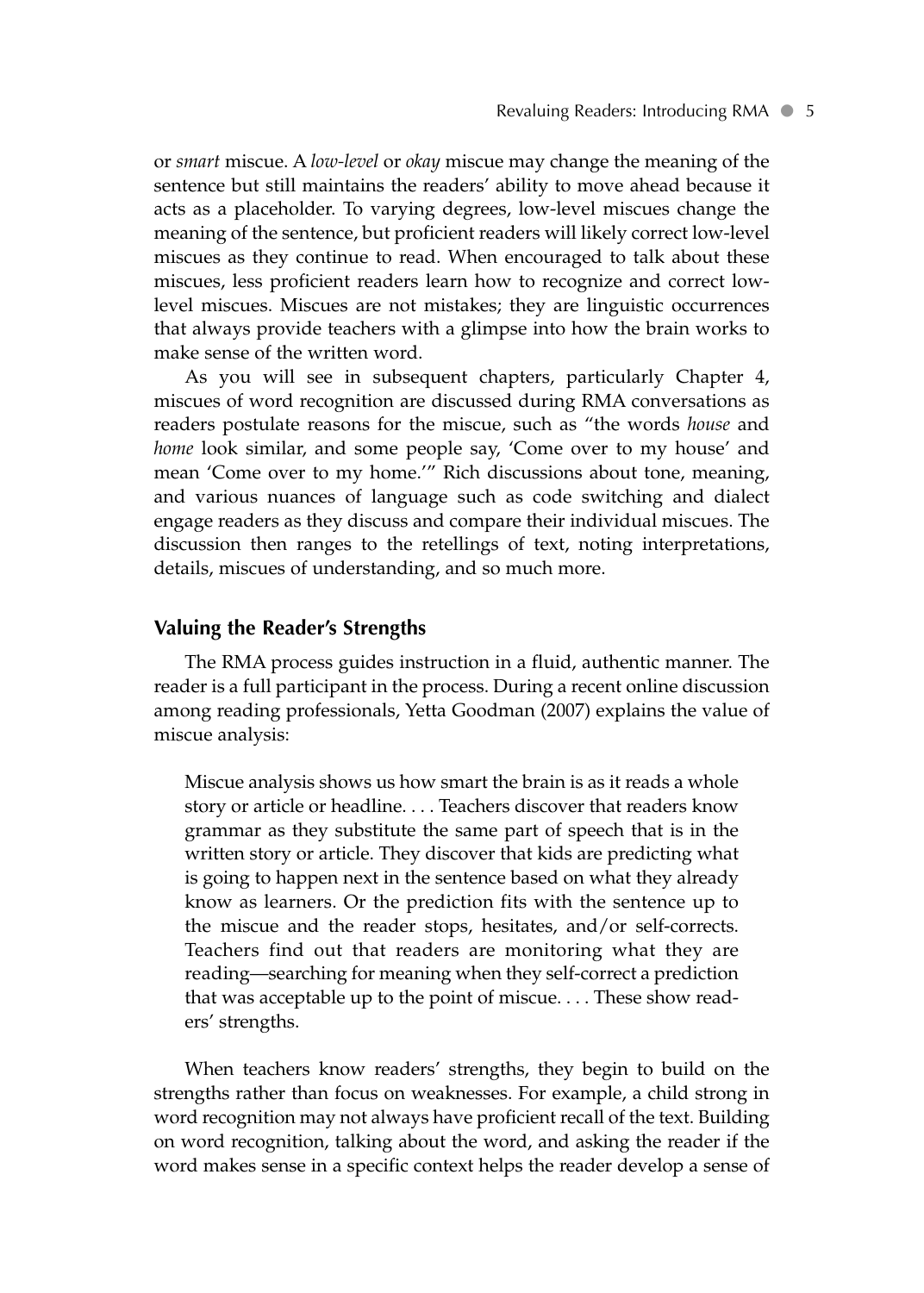or *smart* miscue. A *low-level* or *okay* miscue may change the meaning of the sentence but still maintains the readers' ability to move ahead because it acts as a placeholder. To varying degrees, low-level miscues change the meaning of the sentence, but proficient readers will likely correct low-level miscues as they continue to read. When encouraged to talk about these miscues, less proficient readers learn how to recognize and correct lowlevel miscues. Miscues are not mistakes; they are linguistic occurrences that always provide teachers with a glimpse into how the brain works to make sense of the written word.

As you will see in subsequent chapters, particularly Chapter 4, miscues of word recognition are discussed during RMA conversations as readers postulate reasons for the miscue, such as "the words *house* and *home* look similar, and some people say, 'Come over to my house' and mean 'Come over to my home.'" Rich discussions about tone, meaning, and various nuances of language such as code switching and dialect engage readers as they discuss and compare their individual miscues. The discussion then ranges to the retellings of text, noting interpretations, details, miscues of understanding, and so much more.

#### **Valuing the Reader's Strengths**

The RMA process guides instruction in a fluid, authentic manner. The reader is a full participant in the process. During a recent online discussion among reading professionals, Yetta Goodman (2007) explains the value of miscue analysis:

Miscue analysis shows us how smart the brain is as it reads a whole story or article or headline.... Teachers discover that readers know grammar as they substitute the same part of speech that is in the written story or article. They discover that kids are predicting what is going to happen next in the sentence based on what they already know as learners. Or the prediction fits with the sentence up to the miscue and the reader stops, hesitates, and/or self-corrects. Teachers find out that readers are monitoring what they are reading—searching for meaning when they self-correct a prediction that was acceptable up to the point of miscue.... These show readers' strengths.

When teachers know readers' strengths, they begin to build on the strengths rather than focus on weaknesses. For example, a child strong in word recognition may not always have proficient recall of the text. Building on word recognition, talking about the word, and asking the reader if the word makes sense in a specific context helps the reader develop a sense of